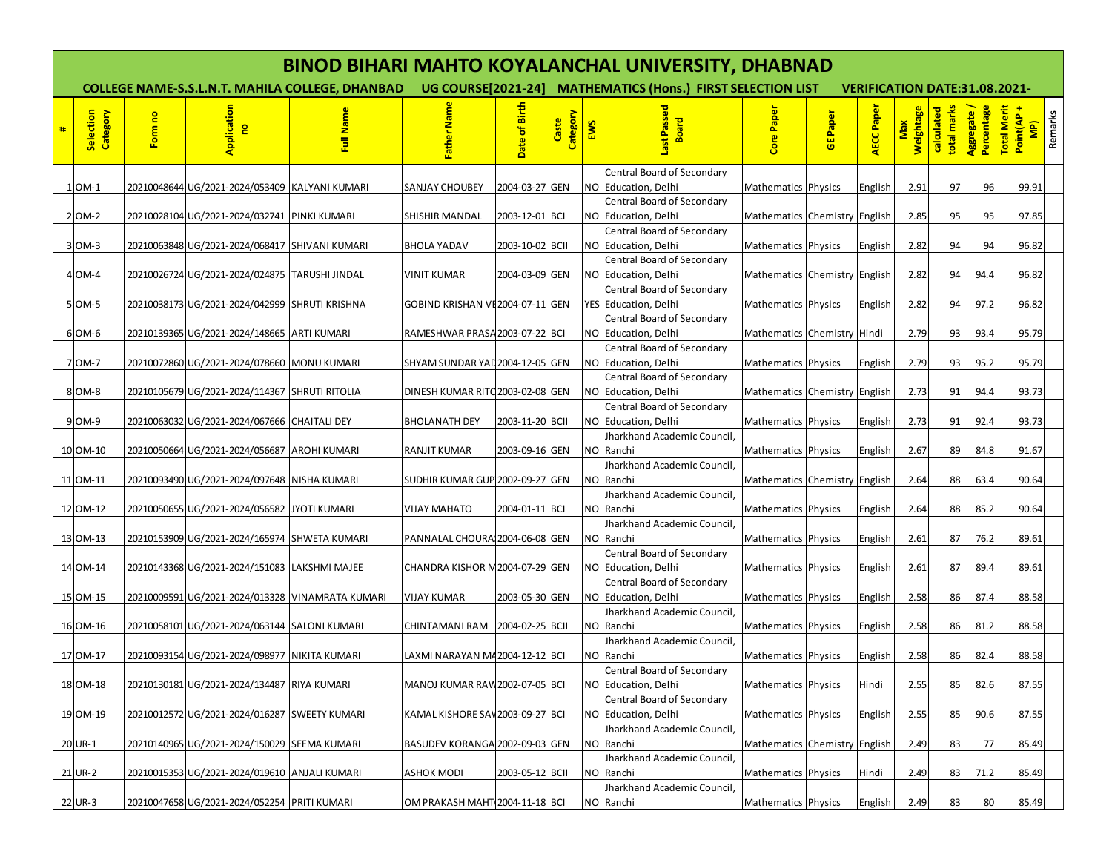|   | <b>BINOD BIHARI MAHTO KOYALANCHAL UNIVERSITY, DHABNAD</b> |         |                                                  |                                                        |                                  |                 |                   |     |                                                             |                               |                 |                                      |                         |                           |                           |                                                       |
|---|-----------------------------------------------------------|---------|--------------------------------------------------|--------------------------------------------------------|----------------------------------|-----------------|-------------------|-----|-------------------------------------------------------------|-------------------------------|-----------------|--------------------------------------|-------------------------|---------------------------|---------------------------|-------------------------------------------------------|
|   |                                                           |         |                                                  | <b>COLLEGE NAME-S.S.L.N.T. MAHILA COLLEGE, DHANBAD</b> |                                  |                 |                   |     | UG COURSE[2021-24] MATHEMATICS (Hons.) FIRST SELECTION LIST |                               |                 | <b>VERIFICATION DATE:31.08.2021-</b> |                         |                           |                           |                                                       |
| # | Selection<br>Category                                     | Form no | Application<br>$\mathbf{e}$                      | Full Name                                              | Father Nam                       | Date of Birth   | Category<br>Caste | EWS | Last Passed<br>고<br>Boal                                    | <b>Core Pape</b>              | <b>GE Paper</b> | AECC Pape                            | <b>Weightage</b><br>Max | calculated<br>total marks | Percentage<br>Aggregate / | Total Merit<br>Point(AP +<br>Remarks<br>$\frac{1}{2}$ |
|   |                                                           |         |                                                  |                                                        |                                  |                 |                   |     | Central Board of Secondary                                  |                               |                 |                                      |                         |                           |                           |                                                       |
|   | $1$ OM-1                                                  |         | 20210048644 UG/2021-2024/053409 KALYANI KUMARI   |                                                        | <b>SANJAY CHOUBEY</b>            | 2004-03-27 GEN  |                   | NO  | Education, Delhi                                            | Mathematics Physics           |                 | English                              | 2.91                    | 97                        | 96                        | 99.91                                                 |
|   | 2 OM-2                                                    |         | 20210028104 UG/2021-2024/032741 PINKI KUMARI     |                                                        | <b>SHISHIR MANDAL</b>            | 2003-12-01 BCI  |                   |     | Central Board of Secondary<br>NO Education, Delhi           | Mathematics Chemistry English |                 |                                      | 2.85                    | 95                        | 95                        | 97.85                                                 |
|   | 3 OM-3                                                    |         | 20210063848 UG/2021-2024/068417 SHIVANI KUMARI   |                                                        | <b>BHOLA YADAV</b>               | 2003-10-02 BCII |                   | ΝO  | Central Board of Secondary<br>Education, Delhi              | Mathematics Physics           |                 | English                              | 2.82                    | 94                        | 94                        | 96.82                                                 |
|   |                                                           |         |                                                  |                                                        |                                  |                 |                   |     | Central Board of Secondary                                  |                               |                 |                                      |                         |                           |                           |                                                       |
|   | 4 OM-4                                                    |         | 20210026724 UG/2021-2024/024875 TARUSHI JINDAL   |                                                        | <b>VINIT KUMAR</b>               | 2004-03-09 GEN  |                   | NO. | Education, Delhi                                            | Mathematics Chemistry English |                 |                                      | 2.82                    | 94                        | 94.4                      | 96.82                                                 |
|   |                                                           |         |                                                  |                                                        |                                  |                 |                   |     | Central Board of Secondary                                  |                               |                 |                                      |                         |                           |                           |                                                       |
|   | 5 OM-5                                                    |         | 20210038173 UG/2021-2024/042999 SHRUTI KRISHNA   |                                                        | GOBIND KRISHAN VE2004-07-11 GEN  |                 |                   |     | YES Education, Delhi                                        | Mathematics Physics           |                 | English                              | 2.82                    | 94                        | 97.2                      | 96.82                                                 |
|   |                                                           |         |                                                  |                                                        |                                  |                 |                   |     | Central Board of Secondary                                  |                               |                 |                                      |                         |                           |                           |                                                       |
|   | 6 OM-6                                                    |         | 20210139365 UG/2021-2024/148665 ARTI KUMARI      |                                                        | RAMESHWAR PRASA 2003-07-22 BCI   |                 |                   |     | NO Education, Delhi                                         | Mathematics Chemistry Hindi   |                 |                                      | 2.79                    | 93                        | 93.4                      | 95.79                                                 |
|   | 7 OM-7                                                    |         |                                                  |                                                        |                                  |                 |                   |     | Central Board of Secondary<br>NO Education, Delhi           | Mathematics Physics           |                 |                                      | 2.79                    | 93                        | 95.2                      | 95.79                                                 |
|   |                                                           |         | 20210072860 UG/2021-2024/078660 MONU KUMARI      |                                                        | SHYAM SUNDAR YAL 2004-12-05 GEN  |                 |                   |     | Central Board of Secondary                                  |                               |                 | English                              |                         |                           |                           |                                                       |
|   | 8 OM-8                                                    |         | 20210105679 UG/2021-2024/114367 SHRUTI RITOLIA   |                                                        | DINESH KUMAR RITO 2003-02-08 GEN |                 |                   |     | NO Education, Delhi                                         | Mathematics Chemistry English |                 |                                      | 2.73                    | 91                        | 94.4                      | 93.73                                                 |
|   |                                                           |         |                                                  |                                                        |                                  |                 |                   |     | Central Board of Secondary                                  |                               |                 |                                      |                         |                           |                           |                                                       |
|   | 9 OM-9                                                    |         | 20210063032 UG/2021-2024/067666 CHAITALI DEY     |                                                        | <b>BHOLANATH DEY</b>             | 2003-11-20 BCII |                   |     | NO Education, Delhi                                         | Mathematics Physics           |                 | English                              | 2.73                    | 91                        | 92.4                      | 93.73                                                 |
|   |                                                           |         |                                                  |                                                        |                                  |                 |                   |     | Jharkhand Academic Council.                                 |                               |                 |                                      |                         |                           |                           |                                                       |
|   | 10 OM-10                                                  |         | 20210050664 UG/2021-2024/056687 AROHI KUMARI     |                                                        | RANJIT KUMAR                     | 2003-09-16 GEN  |                   |     | NO Ranchi                                                   | Mathematics Physics           |                 | English                              | 2.67                    | 89                        | 84.8                      | 91.67                                                 |
|   |                                                           |         |                                                  |                                                        |                                  |                 |                   |     | Jharkhand Academic Council,                                 |                               |                 |                                      |                         |                           |                           |                                                       |
|   | 11 OM-11                                                  |         | 20210093490 UG/2021-2024/097648 NISHA KUMARI     |                                                        | SUDHIR KUMAR GUP 2002-09-27 GEN  |                 |                   |     | NO Ranchi<br>Jharkhand Academic Council,                    | Mathematics Chemistry English |                 |                                      | 2.64                    | 88                        | 63.4                      | 90.64                                                 |
|   | 12 OM-12                                                  |         | 20210050655 UG/2021-2024/056582 JJYOTI KUMARI    |                                                        | <b>VIJAY MAHATO</b>              | 2004-01-11 BCI  |                   |     | NO Ranchi                                                   | Mathematics Physics           |                 | English                              | 2.64                    | 88                        | 85.2                      | 90.64                                                 |
|   |                                                           |         |                                                  |                                                        |                                  |                 |                   |     | Jharkhand Academic Council,                                 |                               |                 |                                      |                         |                           |                           |                                                       |
|   | 13 OM-13                                                  |         | 20210153909 UG/2021-2024/165974 SHWETA KUMARI    |                                                        | PANNALAL CHOURA 2004-06-08 GEN   |                 |                   |     | NO Ranchi                                                   | Mathematics Physics           |                 | English                              | 2.61                    | 87                        | 76.2                      | 89.61                                                 |
|   |                                                           |         |                                                  |                                                        |                                  |                 |                   |     | Central Board of Secondary                                  |                               |                 |                                      |                         |                           |                           |                                                       |
|   | 14 OM-14                                                  |         | 20210143368 UG/2021-2024/151083 LAKSHMI MAJEE    |                                                        | CHANDRA KISHOR M2004-07-29 GEN   |                 |                   |     | NO Education, Delhi                                         | Mathematics Physics           |                 | English                              | 2.61                    | 87                        | 89.4                      | 89.61                                                 |
|   |                                                           |         |                                                  |                                                        |                                  |                 |                   |     | Central Board of Secondary                                  |                               |                 |                                      |                         |                           |                           |                                                       |
|   | 15 OM-15                                                  |         | 20210009591 UG/2021-2024/013328 VINAMRATA KUMARI |                                                        | <b>VIJAY KUMAR</b>               | 2003-05-30 GEN  |                   |     | NO Education, Delhi<br>Jharkhand Academic Council,          | Mathematics Physics           |                 | English                              | 2.58                    | 86                        | 87.4                      | 88.58                                                 |
|   | 16 OM-16                                                  |         | 20210058101 UG/2021-2024/063144 SALONI KUMARI    |                                                        | CHINTAMANI RAM 2004-02-25 BCII   |                 |                   |     | NO Ranchi                                                   | Mathematics Physics           |                 | English                              | 2.58                    | 86                        | 81.2                      | 88.58                                                 |
|   |                                                           |         |                                                  |                                                        |                                  |                 |                   |     | Jharkhand Academic Council,                                 |                               |                 |                                      |                         |                           |                           |                                                       |
|   | 17 OM-17                                                  |         | 20210093154 UG/2021-2024/098977 NIKITA KUMARI    |                                                        | LAXMI NARAYAN M4 2004-12-12 BCI  |                 |                   |     | NO Ranchi                                                   | Mathematics Physics           |                 | English                              | 2.58                    | 86                        | 82.4                      | 88.58                                                 |
|   |                                                           |         |                                                  |                                                        |                                  |                 |                   |     | Central Board of Secondary                                  |                               |                 |                                      |                         |                           |                           |                                                       |
|   | 18 OM-18                                                  |         | 20210130181 UG/2021-2024/134487 RIYA KUMARI      |                                                        | MANOJ KUMAR RAW 2002-07-05 BCI   |                 |                   |     | NO Education, Delhi                                         | Mathematics Physics           |                 | Hindi                                | 2.55                    | 85                        | 82.6                      | 87.55                                                 |
|   |                                                           |         |                                                  |                                                        |                                  |                 |                   |     | Central Board of Secondary                                  |                               |                 |                                      |                         |                           |                           |                                                       |
|   | 19 OM-19                                                  |         | 20210012572 UG/2021-2024/016287 SWEETY KUMARI    |                                                        | KAMAL KISHORE SAV 2003-09-27 BCI |                 |                   |     | NO Education, Delhi                                         | Mathematics Physics           |                 | English                              | 2.55                    | 85                        | 90.6                      | 87.55                                                 |
|   | 20 UR-1                                                   |         | 20210140965 UG/2021-2024/150029 SEEMA KUMARI     |                                                        | BASUDEV KORANGA 2002-09-03 GEN   |                 |                   | NO  | Jharkhand Academic Council<br>Ranchi                        | Mathematics Chemistry English |                 |                                      | 2.49                    | 83                        | 77                        | 85.49                                                 |
|   |                                                           |         |                                                  |                                                        |                                  |                 |                   |     | Jharkhand Academic Council,                                 |                               |                 |                                      |                         |                           |                           |                                                       |
|   | 21 UR-2                                                   |         | 20210015353 UG/2021-2024/019610 ANJALI KUMARI    |                                                        | <b>ASHOK MODI</b>                | 2003-05-12 BCII |                   | NO  | Ranchi                                                      | Mathematics Physics           |                 | Hindi                                | 2.49                    | 83                        | 71.2                      | 85.49                                                 |
|   | 22 UR-3                                                   |         | 20210047658 UG/2021-2024/052254 PRITI KUMARI     |                                                        | OM PRAKASH MAHT 2004-11-18 BCI   |                 |                   |     | Jharkhand Academic Council,<br>NO Ranchi                    | Mathematics Physics           |                 | English                              | 2.49                    | 83                        | 80                        | 85.49                                                 |
|   |                                                           |         |                                                  |                                                        |                                  |                 |                   |     |                                                             |                               |                 |                                      |                         |                           |                           |                                                       |
|   |                                                           |         |                                                  |                                                        |                                  |                 |                   |     |                                                             |                               |                 |                                      |                         |                           |                           |                                                       |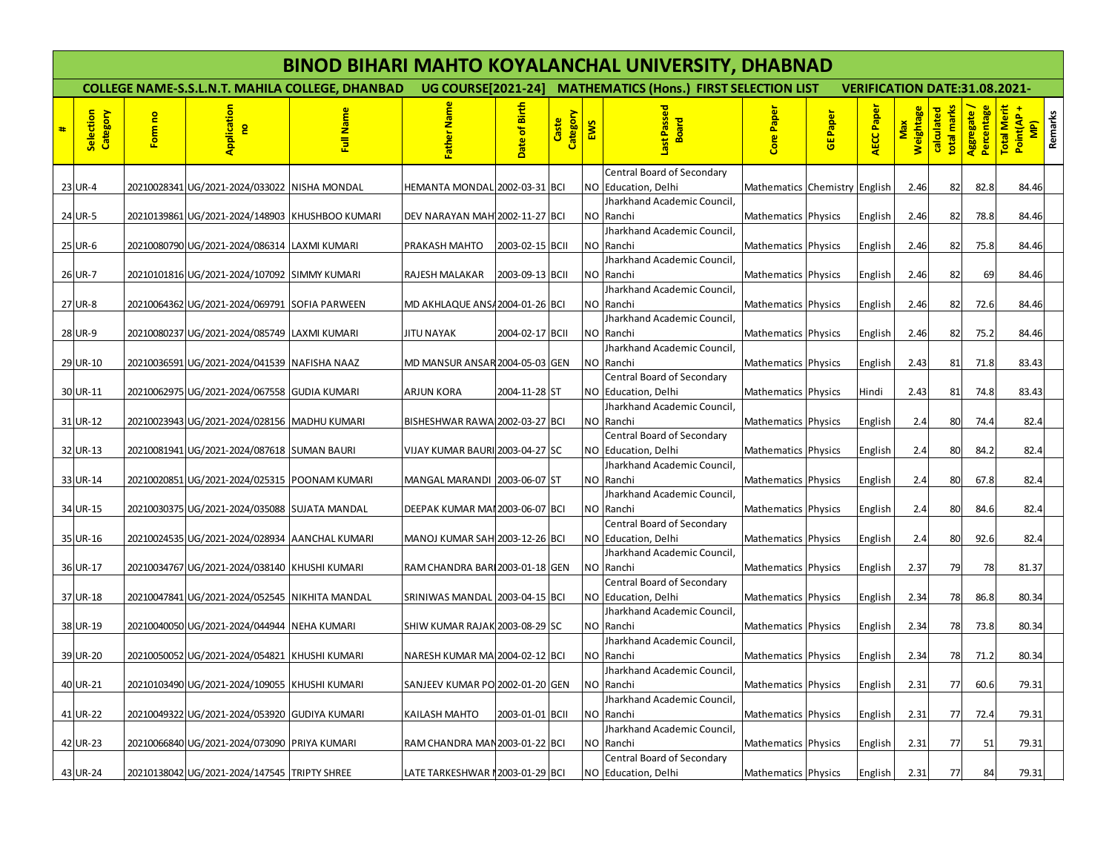|   | <b>BINOD BIHARI MAHTO KOYALANCHAL UNIVERSITY, DHABNAD</b> |         |                                                 |                                                        |                                  |                 |                   |            |                                                             |                               |          |                                      |                         |                           |                           |                                                      |
|---|-----------------------------------------------------------|---------|-------------------------------------------------|--------------------------------------------------------|----------------------------------|-----------------|-------------------|------------|-------------------------------------------------------------|-------------------------------|----------|--------------------------------------|-------------------------|---------------------------|---------------------------|------------------------------------------------------|
|   |                                                           |         |                                                 | <b>COLLEGE NAME-S.S.L.N.T. MAHILA COLLEGE, DHANBAD</b> |                                  |                 |                   |            | UG COURSE[2021-24] MATHEMATICS (Hons.) FIRST SELECTION LIST |                               |          | <b>VERIFICATION DATE:31.08.2021-</b> |                         |                           |                           |                                                      |
| # | Selection<br>Category                                     | Form no | Application<br>$\mathbf{e}$                     | Full Name                                              | ather Na                         | Date of Birth   | Category<br>Caste | <b>EWS</b> | Last Passed<br><b>Board</b>                                 | Core Paper                    | GE Paper | AECC Pape                            | <b>Weightage</b><br>Max | calculated<br>total marks | Percentage<br>Aggregate / | Total Merit<br>Point(AP+<br>Remarks<br>$\frac{1}{2}$ |
|   |                                                           |         |                                                 |                                                        |                                  |                 |                   |            | Central Board of Secondary                                  |                               |          |                                      |                         |                           |                           |                                                      |
|   | 23 UR-4                                                   |         | 20210028341 UG/2021-2024/033022                 | <b>NISHA MONDAL</b>                                    | HEMANTA MONDAL 2002-03-31 BCI    |                 |                   |            | NO Education, Delhi<br>Jharkhand Academic Council.          | Mathematics Chemistry English |          |                                      | 2.46                    | 82                        | 82.8                      | 84.46                                                |
|   | 24 UR-5                                                   |         | 20210139861 UG/2021-2024/148903 KHUSHBOO KUMARI |                                                        | DEV NARAYAN MAH 2002-11-27 BCI   |                 |                   |            | NO Ranchi                                                   | Mathematics Physics           |          | English                              | 2.46                    | 82                        | 78.8                      | 84.46                                                |
|   |                                                           |         |                                                 |                                                        |                                  |                 |                   |            | Jharkhand Academic Council.                                 |                               |          |                                      |                         |                           |                           |                                                      |
|   | 25 UR-6                                                   |         | 20210080790 UG/2021-2024/086314 LAXMI KUMARI    |                                                        | PRAKASH MAHTO                    | 2003-02-15 BCII |                   |            | NO Ranchi                                                   | Mathematics Physics           |          | English                              | 2.46                    | 82                        | 75.8                      | 84.46                                                |
|   |                                                           |         |                                                 |                                                        |                                  |                 |                   |            | Jharkhand Academic Council,                                 |                               |          |                                      |                         |                           |                           |                                                      |
|   | 26 UR-7                                                   |         | 20210101816 UG/2021-2024/107092 SIMMY KUMARI    |                                                        | RAJESH MALAKAR                   | 2003-09-13 BCII |                   |            | NO Ranchi                                                   | Mathematics Physics           |          | English                              | 2.46                    | 82                        | 69                        | 84.46                                                |
|   | 27 UR-8                                                   |         | 20210064362 UG/2021-2024/069791 SOFIA PARWEEN   |                                                        | MD AKHLAQUE ANS/2004-01-26 BCI   |                 |                   |            | Jharkhand Academic Council,<br>NO Ranchi                    | Mathematics Physics           |          | English                              | 2.46                    | 82                        | 72.6                      | 84.46                                                |
|   |                                                           |         |                                                 |                                                        |                                  |                 |                   |            | Jharkhand Academic Council,                                 |                               |          |                                      |                         |                           |                           |                                                      |
|   | 28 UR-9                                                   |         | 20210080237 UG/2021-2024/085749 LAXMI KUMARI    |                                                        | JITU NAYAK                       | 2004-02-17 BCII |                   |            | NO Ranchi                                                   | Mathematics Physics           |          | English                              | 2.46                    | 82                        | 75.2                      | 84.46                                                |
|   |                                                           |         |                                                 |                                                        |                                  |                 |                   |            | Jharkhand Academic Council,                                 |                               |          |                                      |                         |                           |                           |                                                      |
|   | 29 UR-10                                                  |         | 20210036591 UG/2021-2024/041539 NAFISHA NAAZ    |                                                        | MD MANSUR ANSAR 2004-05-03 GEN   |                 |                   |            | NO Ranchi                                                   | Mathematics Physics           |          | English                              | 2.43                    | 81                        | 71.8                      | 83.43                                                |
|   | 30 UR-11                                                  |         | 20210062975 UG/2021-2024/067558 GUDIA KUMARI    |                                                        | <b>ARJUN KORA</b>                | 2004-11-28 ST   |                   |            | Central Board of Secondary<br>NO Education, Delhi           | Mathematics Physics           |          | Hindi                                | 2.43                    | 81                        | 74.8                      | 83.43                                                |
|   |                                                           |         |                                                 |                                                        |                                  |                 |                   |            | Jharkhand Academic Council,                                 |                               |          |                                      |                         |                           |                           |                                                      |
|   | 31 UR-12                                                  |         | 20210023943 UG/2021-2024/028156 MADHU KUMARI    |                                                        | BISHESHWAR RAWA 2002-03-27 BCI   |                 |                   |            | NO Ranchi                                                   | Mathematics Physics           |          | English                              | 2.4                     | 80                        | 74.4                      | 82.4                                                 |
|   |                                                           |         |                                                 |                                                        |                                  |                 |                   |            | Central Board of Secondary                                  |                               |          |                                      |                         |                           |                           |                                                      |
|   | 32 UR-13                                                  |         | 20210081941 UG/2021-2024/087618 SUMAN BAURI     |                                                        | VIJAY KUMAR BAURI 2003-04-27 SC  |                 |                   |            | NO Education, Delhi                                         | Mathematics Physics           |          | English                              | 2.4                     | 80                        | 84.2                      | 82.4                                                 |
|   |                                                           |         |                                                 |                                                        |                                  |                 |                   |            | Jharkhand Academic Council,                                 |                               |          |                                      |                         |                           |                           |                                                      |
|   | 33 UR-14                                                  |         | 20210020851 UG/2021-2024/025315 POONAM KUMARI   |                                                        | MANGAL MARANDI 2003-06-07 ST     |                 |                   |            | NO Ranchi<br>Jharkhand Academic Council,                    | Mathematics Physics           |          | English                              | 2.4                     | 80                        | 67.8                      | 82.4                                                 |
|   | 34 UR-15                                                  |         | 20210030375 UG/2021-2024/035088 SUJATA MANDAL   |                                                        | DEEPAK KUMAR MAI 2003-06-07 BCI  |                 |                   |            | NO Ranchi                                                   | Mathematics Physics           |          | English                              | 2.4                     | 80                        | 84.6                      | 82.4                                                 |
|   |                                                           |         |                                                 |                                                        |                                  |                 |                   |            | Central Board of Secondary                                  |                               |          |                                      |                         |                           |                           |                                                      |
|   | 35 UR-16                                                  |         | 20210024535 UG/2021-2024/028934 AANCHAL KUMARI  |                                                        | MANOJ KUMAR SAH 2003-12-26 BCI   |                 |                   |            | NO Education, Delhi                                         | Mathematics Physics           |          | English                              | 2.4                     | 80                        | 92.6                      | 82.4                                                 |
|   |                                                           |         |                                                 |                                                        |                                  |                 |                   |            | Jharkhand Academic Council,                                 |                               |          |                                      |                         |                           |                           |                                                      |
|   | 36 UR-17                                                  |         | 20210034767 UG/2021-2024/038140 KHUSHI KUMARI   |                                                        | RAM CHANDRA BAR 2003-01-18 GEN   |                 |                   |            | NO Ranchi                                                   | Mathematics Physics           |          | English                              | 2.37                    | 79                        | 78                        | 81.37                                                |
|   | 37 UR-18                                                  |         | 20210047841 UG/2021-2024/052545 NIKHITA MANDAL  |                                                        | SRINIWAS MANDAL 2003-04-15 BCI   |                 |                   |            | Central Board of Secondary<br>NO Education, Delhi           | Mathematics Physics           |          | English                              | 2.34                    | 78                        | 86.8                      | 80.34                                                |
|   |                                                           |         |                                                 |                                                        |                                  |                 |                   |            | Jharkhand Academic Council.                                 |                               |          |                                      |                         |                           |                           |                                                      |
|   | 38 UR-19                                                  |         | 20210040050 UG/2021-2024/044944 NEHA KUMARI     |                                                        | SHIW KUMAR RAJAK 2003-08-29 SC   |                 |                   |            | NO Ranchi                                                   | Mathematics Physics           |          | English                              | 2.34                    | 78                        | 73.8                      | 80.34                                                |
|   |                                                           |         |                                                 |                                                        |                                  |                 |                   |            | Jharkhand Academic Council.                                 |                               |          |                                      |                         |                           |                           |                                                      |
|   | 39 UR-20                                                  |         | 20210050052 UG/2021-2024/054821 KHUSHI KUMARI   |                                                        | NARESH KUMAR MA 2004-02-12 BCI   |                 |                   |            | NO Ranchi                                                   | Mathematics Physics           |          | English                              | 2.34                    | 78                        | 71.2                      | 80.34                                                |
|   | 40 UR-21                                                  |         | 20210103490 UG/2021-2024/109055 KHUSHI KUMARI   |                                                        | SANJEEV KUMAR PO 2002-01-20 GEN  |                 |                   |            | Jharkhand Academic Council,<br>NO Ranchi                    | Mathematics Physics           |          | English                              | 2.31                    | 77                        | 60.6                      | 79.31                                                |
|   |                                                           |         |                                                 |                                                        |                                  |                 |                   |            | Jharkhand Academic Council.                                 |                               |          |                                      |                         |                           |                           |                                                      |
|   | 41 UR-22                                                  |         | 20210049322 UG/2021-2024/053920 GUDIYA KUMARI   |                                                        | KAILASH MAHTO                    | 2003-01-01 BCII |                   |            | NO Ranchi                                                   | Mathematics Physics           |          | English                              | 2.31                    | 77                        | 72.4                      | 79.31                                                |
|   | 42 UR-23                                                  |         | 20210066840 UG/2021-2024/073090 PRIYA KUMARI    |                                                        | RAM CHANDRA MAN 2003-01-22 BCI   |                 |                   |            | Jharkhand Academic Council,<br>NO Ranchi                    | Mathematics Physics           |          | English                              | 2.31                    | 77                        | 51                        | 79.31                                                |
|   |                                                           |         |                                                 |                                                        |                                  |                 |                   |            | Central Board of Secondary                                  |                               |          |                                      |                         |                           |                           |                                                      |
|   | 43 UR-24                                                  |         | 20210138042 UG/2021-2024/147545 TRIPTY SHREE    |                                                        | LATE TARKESHWAR I 2003-01-29 BCI |                 |                   |            | NO Education, Delhi                                         | Mathematics Physics           |          | English                              | 2.31                    | 77                        | 84                        | 79.31                                                |
|   |                                                           |         |                                                 |                                                        |                                  |                 |                   |            |                                                             |                               |          |                                      |                         |                           |                           |                                                      |
|   |                                                           |         |                                                 |                                                        |                                  |                 |                   |            |                                                             |                               |          |                                      |                         |                           |                           |                                                      |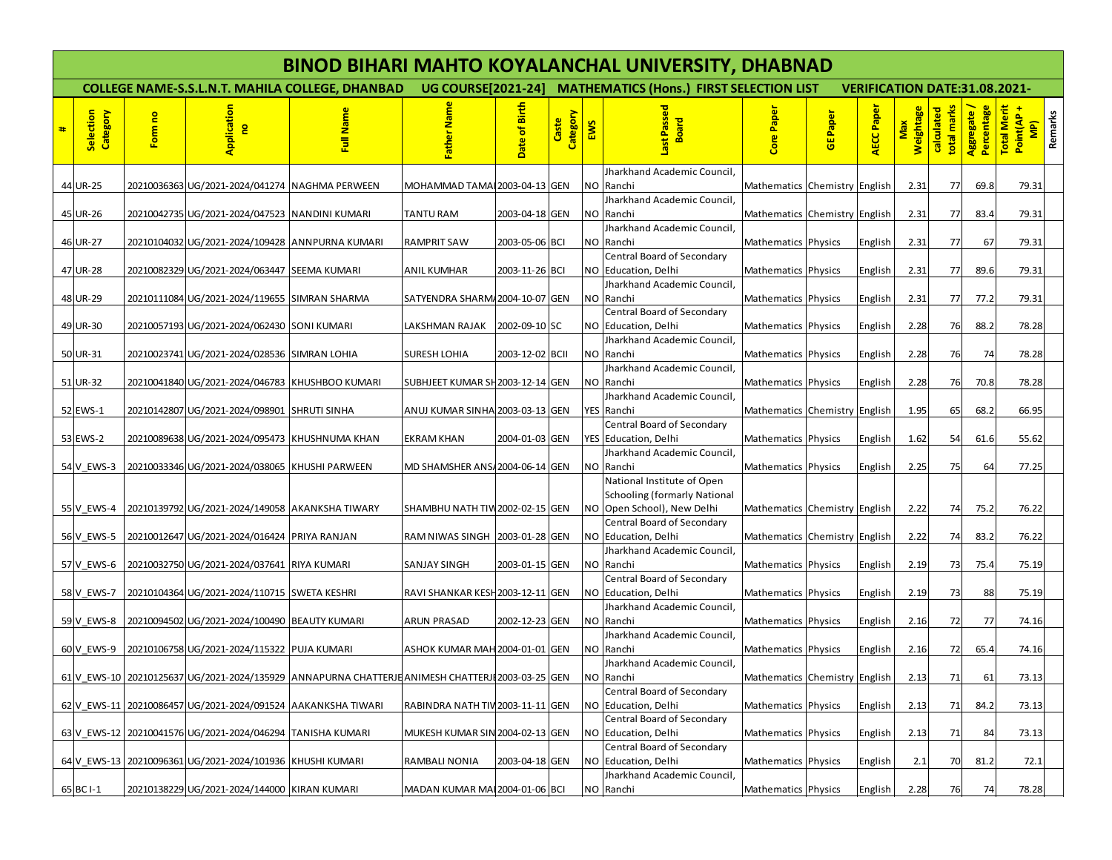|   | <b>BINOD BIHARI MAHTO KOYALANCHAL UNIVERSITY, DHABNAD</b> |         |                                                              |                                                                                                |                                                             |                 |                   |            |                                                     |                               |          |                                      |                         |                           |                           |                                                      |
|---|-----------------------------------------------------------|---------|--------------------------------------------------------------|------------------------------------------------------------------------------------------------|-------------------------------------------------------------|-----------------|-------------------|------------|-----------------------------------------------------|-------------------------------|----------|--------------------------------------|-------------------------|---------------------------|---------------------------|------------------------------------------------------|
|   |                                                           |         |                                                              | <b>COLLEGE NAME-S.S.L.N.T. MAHILA COLLEGE, DHANBAD</b>                                         | UG COURSE[2021-24] MATHEMATICS (Hons.) FIRST SELECTION LIST |                 |                   |            |                                                     |                               |          | <b>VERIFICATION DATE:31.08.2021-</b> |                         |                           |                           |                                                      |
| # | Selection<br>Category                                     | Form no | Application<br>$\mathbf{e}$                                  | Full Name                                                                                      | ather Na                                                    | Date of Birth   | Category<br>Caste | <b>EWS</b> | Last Passed<br><b>Board</b>                         | Core Paper                    | GE Paper | AECC Pape <sup>1</sup>               | <b>Weightage</b><br>Max | calculated<br>total marks | Percentage<br>Aggregate / | Total Merit<br>Point(AP +<br>Remarks<br>$\mathbf{P}$ |
|   |                                                           |         |                                                              |                                                                                                |                                                             |                 |                   |            | Jharkhand Academic Council,                         |                               |          |                                      |                         |                           |                           |                                                      |
|   | 44 UR-25                                                  |         | 20210036363 UG/2021-2024/041274 NAGHMA PERWEEN               |                                                                                                | MOHAMMAD TAMAI 2003-04-13 GEN                               |                 |                   |            | NO Ranchi<br>Jharkhand Academic Council,            | Mathematics Chemistry English |          |                                      | 2.31                    | 77                        | 69.8                      | 79.31                                                |
|   | 45 UR-26                                                  |         | 20210042735 UG/2021-2024/047523 NANDINI KUMARI               |                                                                                                | <b>TANTU RAM</b>                                            | 2003-04-18 GEN  |                   |            | NO Ranchi                                           | Mathematics Chemistry English |          |                                      | 2.31                    | 77                        | 83.4                      | 79.31                                                |
|   | 46 UR-27                                                  |         | 20210104032 UG/2021-2024/109428 ANNPURNA KUMARI              |                                                                                                | <b>RAMPRIT SAW</b>                                          | 2003-05-06 BCI  |                   |            | Jharkhand Academic Council,<br>NO Ranchi            | Mathematics Physics           |          | English                              | 2.31                    | 77                        | 67                        | 79.31                                                |
|   |                                                           |         |                                                              |                                                                                                |                                                             |                 |                   |            | Central Board of Secondary                          |                               |          |                                      |                         |                           |                           |                                                      |
|   | 47 UR-28                                                  |         | 20210082329 UG/2021-2024/063447 SEEMA KUMARI                 |                                                                                                | ANIL KUMHAR                                                 | 2003-11-26 BCI  |                   |            | NO Education, Delhi<br>Jharkhand Academic Council,  | Mathematics Physics           |          | English                              | 2.31                    | 77                        | 89.6                      | 79.31                                                |
|   | 48 UR-29                                                  |         | 20210111084 UG/2021-2024/119655 SIMRAN SHARMA                |                                                                                                | SATYENDRA SHARM/2004-10-07 GEN                              |                 |                   |            | NO Ranchi                                           | Mathematics Physics           |          | English                              | 2.31                    | 77                        | 77.2                      | 79.31                                                |
|   |                                                           |         |                                                              |                                                                                                |                                                             |                 |                   |            | Central Board of Secondary                          |                               |          |                                      |                         |                           |                           |                                                      |
|   | 49 UR-30                                                  |         | 20210057193 UG/2021-2024/062430 SONI KUMARI                  |                                                                                                | LAKSHMAN RAJAK                                              | 2002-09-10 SC   |                   |            | NO Education, Delhi                                 | Mathematics Physics           |          | English                              | 2.28                    | 76                        | 88.2                      | 78.28                                                |
|   |                                                           |         |                                                              |                                                                                                |                                                             |                 |                   |            | Jharkhand Academic Council,                         |                               |          |                                      |                         |                           |                           |                                                      |
|   | 50 UR-31                                                  |         | 20210023741 UG/2021-2024/028536 SIMRAN LOHIA                 |                                                                                                | SURESH LOHIA                                                | 2003-12-02 BCII |                   |            | NO Ranchi<br>Jharkhand Academic Council,            | Mathematics Physics           |          | English                              | 2.28                    | 76                        | 74                        | 78.28                                                |
|   | 51 UR-32                                                  |         | 20210041840 UG/2021-2024/046783 KHUSHBOO KUMARI              |                                                                                                | SUBHJEET KUMAR SH 2003-12-14 GEN                            |                 |                   |            | NO Ranchi                                           | Mathematics Physics           |          | English                              | 2.28                    | 76                        | 70.8                      | 78.28                                                |
|   |                                                           |         |                                                              |                                                                                                |                                                             |                 |                   |            | Jharkhand Academic Council,                         |                               |          |                                      |                         |                           |                           |                                                      |
|   | 52 EWS-1                                                  |         | 20210142807 UG/2021-2024/098901 SHRUTI SINHA                 |                                                                                                | ANUJ KUMAR SINHA 2003-03-13 GEN                             |                 |                   |            | YES Ranchi                                          | Mathematics Chemistry English |          |                                      | 1.95                    | 65                        | 68.2                      | 66.95                                                |
|   |                                                           |         |                                                              |                                                                                                |                                                             |                 |                   |            | Central Board of Secondary                          |                               |          |                                      |                         |                           |                           |                                                      |
|   | 53 EWS-2                                                  |         | 20210089638 UG/2021-2024/095473 KHUSHNUMA KHAN               |                                                                                                | EKRAM KHAN                                                  | 2004-01-03 GEN  |                   |            | YES Education, Delhi<br>Jharkhand Academic Council. | Mathematics Physics           |          | English                              | 1.62                    | 54                        | 61.6                      | 55.62                                                |
|   | 54 V EWS-3                                                |         | 20210033346 UG/2021-2024/038065 KHUSHI PARWEEN               |                                                                                                | MD SHAMSHER ANS / 2004-06-14 GEN                            |                 |                   |            | NO Ranchi                                           | Mathematics Physics           |          | English                              | 2.25                    | 75                        | 64                        | 77.25                                                |
|   |                                                           |         |                                                              |                                                                                                |                                                             |                 |                   |            | National Institute of Open                          |                               |          |                                      |                         |                           |                           |                                                      |
|   |                                                           |         |                                                              |                                                                                                |                                                             |                 |                   |            | <b>Schooling (formarly National</b>                 |                               |          |                                      |                         |                           |                           |                                                      |
|   | 55 V EWS-4                                                |         | 20210139792 UG/2021-2024/149058 AKANKSHA TIWARY              |                                                                                                | SHAMBHU NATH TIW 2002-02-15 GEN                             |                 |                   |            | NO Open School), New Delhi                          | Mathematics Chemistry English |          |                                      | 2.22                    | 74                        | 75.2                      | 76.22                                                |
|   |                                                           |         |                                                              |                                                                                                |                                                             |                 |                   |            | Central Board of Secondary                          |                               |          |                                      |                         |                           |                           |                                                      |
|   | 56 V EWS-5                                                |         | 20210012647 UG/2021-2024/016424 PRIYA RANJAN                 |                                                                                                | RAM NIWAS SINGH   2003-01-28 GEN                            |                 |                   |            | NO Education, Delhi<br>Jharkhand Academic Council,  | Mathematics Chemistry English |          |                                      | 2.22                    | 74                        | 83.2                      | 76.22                                                |
|   | 57 V EWS-6                                                |         | 20210032750 UG/2021-2024/037641 RIYA KUMARI                  |                                                                                                | SANJAY SINGH                                                | 2003-01-15 GEN  |                   |            | NO Ranchi                                           | Mathematics Physics           |          | English                              | 2.19                    | 73                        | 75.4                      | 75.19                                                |
|   |                                                           |         |                                                              |                                                                                                |                                                             |                 |                   |            | Central Board of Secondary                          |                               |          |                                      |                         |                           |                           |                                                      |
|   | 58 V EWS-7                                                |         | 20210104364 UG/2021-2024/110715 SWETA KESHRI                 |                                                                                                | RAVI SHANKAR KESH 2003-12-11 GEN                            |                 |                   |            | NO Education, Delhi                                 | Mathematics Physics           |          | English                              | 2.19                    | 73                        | 88                        | 75.19                                                |
|   |                                                           |         | 20210094502 UG/2021-2024/100490 BEAUTY KUMARI                |                                                                                                |                                                             |                 |                   |            | Jharkhand Academic Council,                         |                               |          |                                      |                         |                           |                           |                                                      |
|   | 59 V EWS-8                                                |         |                                                              |                                                                                                | <b>ARUN PRASAD</b>                                          | 2002-12-23 GEN  |                   |            | NO Ranchi<br>Jharkhand Academic Council,            | Mathematics Physics           |          | English                              | 2.16                    | 72                        | 77                        | 74.16                                                |
|   | 60 V EWS-9                                                |         | 20210106758 UG/2021-2024/115322 PUJA KUMARI                  |                                                                                                | ASHOK KUMAR MAH 2004-01-01 GEN                              |                 |                   |            | NO Ranchi                                           | Mathematics Physics           |          | English                              | 2.16                    | 72                        | 65.4                      | 74.16                                                |
|   |                                                           |         |                                                              |                                                                                                |                                                             |                 |                   |            | Jharkhand Academic Council,                         |                               |          |                                      |                         |                           |                           |                                                      |
|   |                                                           |         |                                                              | 61 V EWS-10 20210125637 UG/2021-2024/135929 ANNAPURNA CHATTERJEANIMESH CHATTERJE2003-03-25 GEN |                                                             |                 |                   |            | NO Ranchi                                           | Mathematics Chemistry English |          |                                      | 2.13                    | 71                        | 61                        | 73.13                                                |
|   |                                                           |         |                                                              |                                                                                                |                                                             |                 |                   |            | Central Board of Secondary                          |                               |          |                                      |                         |                           |                           |                                                      |
|   |                                                           |         | 62 V EWS-11 20210086457 UG/2021-2024/091524 AAKANKSHA TIWARI |                                                                                                | RABINDRA NATH TIV 2003-11-11 GEN                            |                 |                   |            | NO Education, Delhi<br>Central Board of Secondary   | Mathematics Physics           |          | English                              | 2.13                    | 71                        | 84.2                      | 73.13                                                |
|   |                                                           |         | 63 V EWS-12 20210041576 UG/2021-2024/046294 TANISHA KUMARI   |                                                                                                | MUKESH KUMAR SIN 2004-02-13 GEN                             |                 |                   |            | NO Education, Delhi                                 | Mathematics Physics           |          | English                              | 2.13                    | 71                        | 84                        | 73.13                                                |
|   |                                                           |         |                                                              |                                                                                                |                                                             |                 |                   |            | Central Board of Secondary                          |                               |          |                                      |                         |                           |                           |                                                      |
|   |                                                           |         | 64 V EWS-13 20210096361 UG/2021-2024/101936 KHUSHI KUMARI    |                                                                                                | RAMBALI NONIA                                               | 2003-04-18 GEN  |                   |            | NO Education, Delhi                                 | Mathematics Physics           |          | English                              | 2.1                     | 70                        | 81.2                      | 72.1                                                 |
|   |                                                           |         |                                                              |                                                                                                |                                                             |                 |                   |            | Jharkhand Academic Council,                         |                               |          |                                      |                         |                           |                           |                                                      |
|   | 65 BC I-1                                                 |         | 20210138229 UG/2021-2024/144000 KIRAN KUMARI                 |                                                                                                | MADAN KUMAR MAI 2004-01-06 BCI                              |                 |                   |            | NO Ranchi                                           | Mathematics Physics           |          | English                              | 2.28                    | 76                        | 74                        | 78.28                                                |
|   |                                                           |         |                                                              |                                                                                                |                                                             |                 |                   |            |                                                     |                               |          |                                      |                         |                           |                           |                                                      |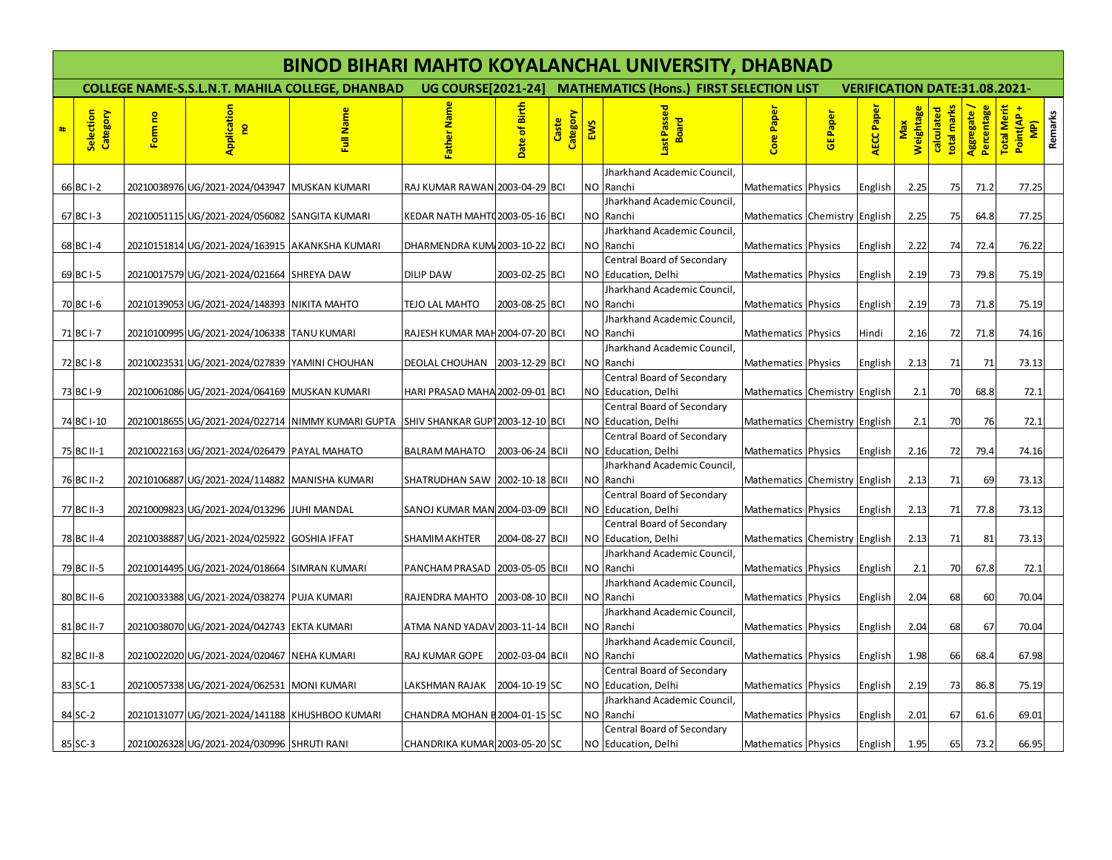|   | <b>BINOD BIHARI MAHTO KOYALANCHAL UNIVERSITY, DHABNAD</b> |         |                                                 |                                                                                    |                                 |                 |                   |     |                                                                                 |                               |                 |                                      |                         |                           |                           |                                                      |
|---|-----------------------------------------------------------|---------|-------------------------------------------------|------------------------------------------------------------------------------------|---------------------------------|-----------------|-------------------|-----|---------------------------------------------------------------------------------|-------------------------------|-----------------|--------------------------------------|-------------------------|---------------------------|---------------------------|------------------------------------------------------|
|   |                                                           |         |                                                 | <b>COLLEGE NAME-S.S.L.N.T. MAHILA COLLEGE, DHANBAD</b>                             |                                 |                 |                   |     | UG COURSE[2021-24] MATHEMATICS (Hons.) FIRST SELECTION LIST                     |                               |                 | <b>VERIFICATION DATE:31.08.2021-</b> |                         |                           |                           |                                                      |
| # | Selection<br>Category                                     | Form no | Application<br>$\mathbf{e}$                     | Full Name                                                                          | Father Nar                      | Date of Birth   | Category<br>Caste | EWS | ast Passed<br>고<br>Boal                                                         | <b>Core Pape</b>              | <b>GE Paper</b> | AECC Pape                            | <b>Weightage</b><br>Max | calculated<br>total marks | Percentage<br>Aggregate / | Total Merit<br>Remarks<br>Point(AP-<br>$\frac{1}{2}$ |
|   | 66 BC I-2                                                 |         | 20210038976 UG/2021-2024/043947 MUSKAN KUMARI   |                                                                                    | RAJ KUMAR RAWAN 2003-04-29 BCI  |                 |                   | NO  | Jharkhand Academic Council,<br>Ranchi                                           | Mathematics Physics           |                 | English                              | 2.25                    | 75                        | 71.2                      | 77.25                                                |
|   | 67 BC I-3                                                 |         | 20210051115 UG/2021-2024/056082 SANGITA KUMARI  |                                                                                    | KEDAR NATH MAHT02003-05-16 BCI  |                 |                   |     | Jharkhand Academic Council,<br>NO Ranchi                                        | Mathematics Chemistry English |                 |                                      | 2.25                    | 75                        | 64.8                      | 77.25                                                |
|   | 68 BC I-4                                                 |         | 20210151814 UG/2021-2024/163915 AKANKSHA KUMARI |                                                                                    | DHARMENDRA KUM 2003-10-22 BCI   |                 |                   | NO. | Jharkhand Academic Council.<br>Ranchi                                           | Mathematics Physics           |                 | English                              | 2.22                    | 74                        | 72.4                      | 76.22                                                |
|   | 69 BC I-5                                                 |         | 20210017579 UG/2021-2024/021664 SHREYA DAW      |                                                                                    | <b>DILIP DAW</b>                | 2003-02-25 BCI  |                   |     | Central Board of Secondary<br>NO Education, Delhi                               | Mathematics Physics           |                 | English                              | 2.19                    | 73                        | 79.8                      | 75.19                                                |
|   | 70 BC I-6                                                 |         | 20210139053 UG/2021-2024/148393 NIKITA MAHTO    |                                                                                    | TEJO LAL MAHTO                  | 2003-08-25 BCI  |                   |     | Jharkhand Academic Council,<br>NO Ranchi                                        | Mathematics Physics           |                 | English                              | 2.19                    | 73                        | 71.8                      | 75.19                                                |
|   | 71 BC I-7                                                 |         | 20210100995 UG/2021-2024/106338 TANU KUMARI     |                                                                                    | RAJESH KUMAR MAH 2004-07-20 BCI |                 |                   |     | Jharkhand Academic Council,<br>NO Ranchi                                        | Mathematics Physics           |                 | Hindi                                | 2.16                    | 72                        | 71.8                      | 74.16                                                |
|   | 72 BC I-8                                                 |         | 20210023531 UG/2021-2024/027839 YAMINI CHOUHAN  |                                                                                    | DEOLAL CHOUHAN 2003-12-29 BCI   |                 |                   |     | Jharkhand Academic Council,<br>NO Ranchi                                        | Mathematics Physics           |                 | English                              | 2.13                    | 71                        | 71                        | 73.13                                                |
|   | 73 BC I-9                                                 |         | 20210061086 UG/2021-2024/064169 MUSKAN KUMARI   |                                                                                    | HARI PRASAD MAHA 2002-09-01 BCI |                 |                   |     | <b>Central Board of Secondary</b><br>NO Education, Delhi                        | Mathematics Chemistry English |                 |                                      | 2.1                     | 70                        | 68.8                      | 72.1                                                 |
|   | 74 BC I-10                                                |         |                                                 | 20210018655 UG/2021-2024/022714 NIMMY KUMARI GUPTA SHIV SHANKAR GUP 2003-12-10 BCI |                                 |                 |                   |     | Central Board of Secondary<br>NO Education, Delhi                               | Mathematics Chemistry English |                 |                                      | 2.1                     | 70                        | 76                        | 72.1                                                 |
|   | 75 BC II-1                                                |         | 20210022163 UG/2021-2024/026479 PAYAL MAHATO    |                                                                                    | BALRAM MAHATO                   | 2003-06-24 BCII |                   |     | Central Board of Secondary<br>NO Education, Delhi                               | Mathematics Physics           |                 | English                              | 2.16                    | 72                        | 79.4                      | 74.16                                                |
|   | 76 BC II-2                                                |         | 20210106887 UG/2021-2024/114882 MANISHA KUMARI  |                                                                                    | SHATRUDHAN SAW 2002-10-18 BCII  |                 |                   |     | Jharkhand Academic Council,<br>NO Ranchi                                        | Mathematics Chemistry English |                 |                                      | 2.13                    | 71                        | 69                        | 73.13                                                |
|   | 77 BC II-3                                                |         | 20210009823 UG/2021-2024/013296 JJUHI MANDAL    |                                                                                    | SANOJ KUMAR MAN 2004-03-09 BCII |                 |                   |     | Central Board of Secondary<br>NO Education, Delhi<br>Central Board of Secondary | Mathematics Physics           |                 | English                              | 2.13                    | 71                        | 77.8                      | 73.13                                                |
|   | 78 BC II-4                                                |         | 20210038887 UG/2021-2024/025922 GOSHIA IFFAT    |                                                                                    | <b>SHAMIM AKHTER</b>            | 2004-08-27 BCII |                   |     | NO Education, Delhi<br>Jharkhand Academic Council,                              | Mathematics Chemistry English |                 |                                      | 2.13                    | 71                        | 81                        | 73.13                                                |
|   | 79 BC II-5                                                |         | 20210014495 UG/2021-2024/018664 SIMRAN KUMARI   |                                                                                    | PANCHAM PRASAD 2003-05-05 BCII  |                 |                   |     | NO Ranchi<br>Jharkhand Academic Council,                                        | Mathematics Physics           |                 | English                              | 2.1                     | 70                        | 67.8                      | 72.1                                                 |
|   | 80 BC II-6                                                |         | 20210033388 UG/2021-2024/038274 PUJA KUMARI     |                                                                                    | RAJENDRA MAHTO 2003-08-10 BCII  |                 |                   |     | NO Ranchi<br>Jharkhand Academic Council,                                        | Mathematics Physics           |                 | English                              | 2.04                    | 68                        | 60                        | 70.04                                                |
|   | 81 BC II-7                                                |         | 20210038070 UG/2021-2024/042743 EKTA KUMARI     |                                                                                    | ATMA NAND YADAV 2003-11-14 BCII |                 |                   |     | NO Ranchi<br>Jharkhand Academic Council.                                        | Mathematics Physics           |                 | English                              | 2.04                    | 68                        | 67                        | 70.04                                                |
|   | 82 BC II-8                                                |         | 20210022020 UG/2021-2024/020467 NEHA KUMARI     |                                                                                    | RAJ KUMAR GOPE                  | 2002-03-04 BCII |                   |     | NO Ranchi<br>Central Board of Secondary                                         | Mathematics Physics           |                 | English                              | 1.98                    | 66                        | 68.4                      | 67.98                                                |
|   | 83 SC-1                                                   |         | 20210057338 UG/2021-2024/062531 MONI KUMARI     |                                                                                    | LAKSHMAN RAJAK 2004-10-19 SC    |                 |                   |     | NO Education, Delhi<br>Jharkhand Academic Council,                              | Mathematics Physics           |                 | English                              | 2.19                    | 73                        | 86.8                      | 75.19                                                |
|   | 84 SC-2                                                   |         | 20210131077 UG/2021-2024/141188 KHUSHBOO KUMARI |                                                                                    | CHANDRA MOHAN B2004-01-15 SC    |                 |                   | NO  | Ranchi<br>Central Board of Secondary                                            | Mathematics Physics           |                 | English                              | 2.01                    | 67                        | 61.6                      | 69.01                                                |
|   | 85 SC-3                                                   |         | 20210026328 UG/2021-2024/030996 SHRUTI RANI     |                                                                                    | CHANDRIKA KUMAR 2003-05-20 SC   |                 |                   |     | NO Education, Delhi                                                             | Mathematics Physics           |                 | English                              | 1.95                    | 65                        | 73.2                      | 66.95                                                |
|   |                                                           |         |                                                 |                                                                                    |                                 |                 |                   |     |                                                                                 |                               |                 |                                      |                         |                           |                           |                                                      |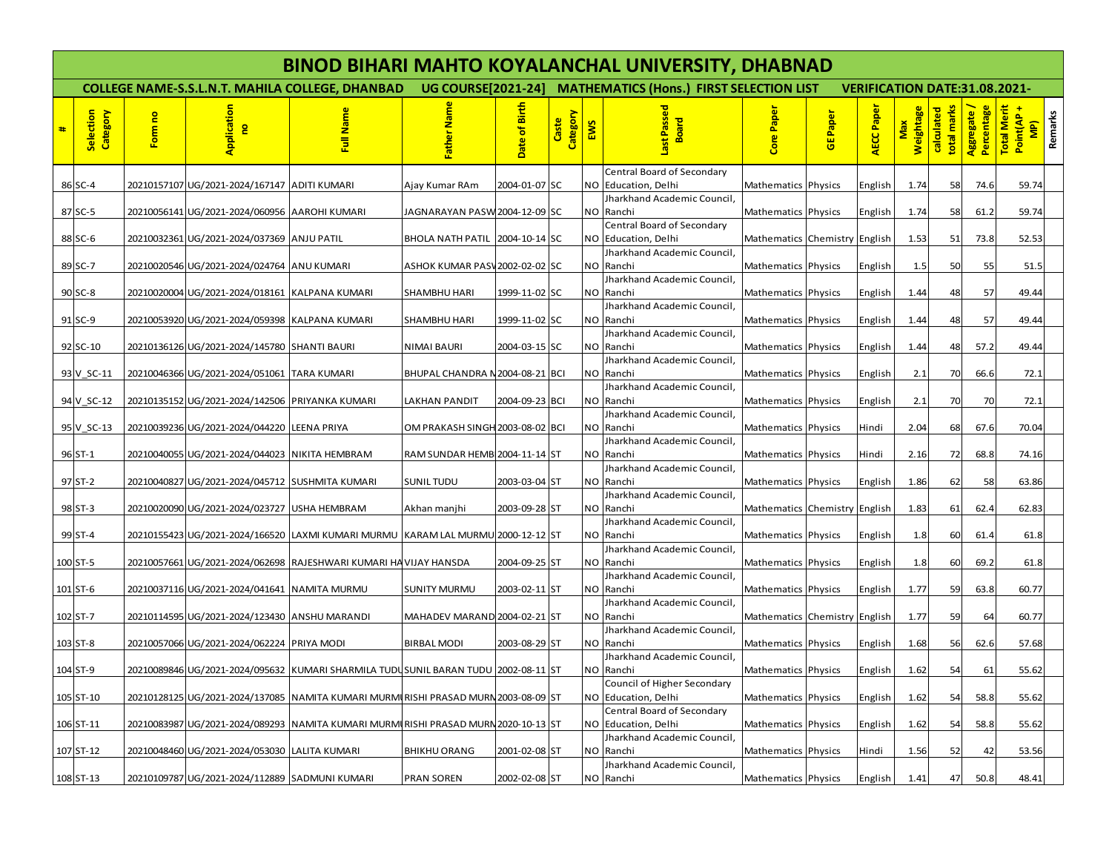|   | <b>BINOD BIHARI MAHTO KOYALANCHAL UNIVERSITY, DHABNAD</b> |         |                                                 |                                                                                    |                                                             |                |                   |     |                                                    |                               |                                      |           |                         |                           |                           |                                                 |         |  |  |
|---|-----------------------------------------------------------|---------|-------------------------------------------------|------------------------------------------------------------------------------------|-------------------------------------------------------------|----------------|-------------------|-----|----------------------------------------------------|-------------------------------|--------------------------------------|-----------|-------------------------|---------------------------|---------------------------|-------------------------------------------------|---------|--|--|
|   |                                                           |         |                                                 | <b>COLLEGE NAME-S.S.L.N.T. MAHILA COLLEGE, DHANBAD</b>                             | UG COURSE[2021-24] MATHEMATICS (Hons.) FIRST SELECTION LIST |                |                   |     |                                                    |                               | <b>VERIFICATION DATE:31.08.2021-</b> |           |                         |                           |                           |                                                 |         |  |  |
| # | Selection<br>Category                                     | Form no | Application<br><b>P</b>                         | Full Name                                                                          | ather Nam                                                   | Date of Birth  | Category<br>Caste | EWS | Last Passed<br>卫<br>Boa                            | Core Paper                    | <b>GE Paper</b>                      | AECC Pape | <b>Weightage</b><br>Max | total marks<br>calculated | Percentage<br>Aggregate / | <b>Total Merit</b><br>Point(AP<br>$\frac{1}{2}$ | Remarks |  |  |
|   |                                                           |         |                                                 |                                                                                    |                                                             |                |                   |     | Central Board of Secondary                         |                               |                                      |           |                         |                           |                           |                                                 |         |  |  |
|   | 86 SC-4                                                   |         | 20210157107 UG/2021-2024/167147 ADITI KUMARI    |                                                                                    | Ajay Kumar RAm                                              | 2004-01-07 SC  |                   |     | NO Education, Delhi<br>Jharkhand Academic Council, | Mathematics Physics           |                                      | English   | 1.74                    | 58                        | 74.6                      | 59.74                                           |         |  |  |
|   | 87 SC-5                                                   |         | 20210056141 UG/2021-2024/060956 AAROHI KUMARI   |                                                                                    | JAGNARAYAN PASW 2004-12-09 SC                               |                |                   | NO  | Ranchi                                             | Mathematics Physics           |                                      | English   | 1.74                    | 58                        | 61.2                      | 59.74                                           |         |  |  |
|   | 88 SC-6                                                   |         | 20210032361 UG/2021-2024/037369                 | <b>ANJU PATIL</b>                                                                  | <b>BHOLA NATH PATIL</b>                                     | 2004-10-14 SC  |                   |     | Central Board of Secondary<br>NO Education, Delhi  | Mathematics Chemistry English |                                      |           | 1.53                    | 51                        | 73.8                      | 52.53                                           |         |  |  |
|   |                                                           |         |                                                 |                                                                                    |                                                             |                |                   |     | Jharkhand Academic Council,                        |                               |                                      |           |                         |                           |                           |                                                 |         |  |  |
|   | 89 SC-7                                                   |         | 20210020546 UG/2021-2024/024764 ANU KUMARI      |                                                                                    | ASHOK KUMAR PASV 2002-02-02 SC                              |                |                   | NO  | Ranchi<br>Jharkhand Academic Council,              | Mathematics Physics           |                                      | English   | 1.5                     | 50                        | 55                        | 51.5                                            |         |  |  |
|   | 90 SC-8                                                   |         | 20210020004 UG/2021-2024/018161 KALPANA KUMARI  |                                                                                    | <b>SHAMBHU HARI</b>                                         | 1999-11-02 SC  |                   | NO  | Ranchi                                             | Mathematics Physics           |                                      | English   | 1.44                    | 48                        | 57                        | 49.44                                           |         |  |  |
|   |                                                           |         |                                                 |                                                                                    |                                                             |                |                   |     | Jharkhand Academic Council,                        |                               |                                      |           |                         |                           |                           |                                                 |         |  |  |
|   | 91 SC-9                                                   |         | 20210053920 UG/2021-2024/059398 KALPANA KUMARI  |                                                                                    | <b>SHAMBHU HARI</b>                                         | 1999-11-02 SC  |                   | NO  | Ranchi                                             | Mathematics Physics           |                                      | English   | 1.44                    | 48                        | 57                        | 49.44                                           |         |  |  |
|   | 92 SC-10                                                  |         | 20210136126 UG/2021-2024/145780 SHANTI BAURI    |                                                                                    | NIMAI BAURI                                                 | 2004-03-15 SC  |                   | ΝO  | Jharkhand Academic Council,<br>Ranchi              | Mathematics Physics           |                                      | English   | 1.44                    | 48                        | 57.2                      | 49.44                                           |         |  |  |
|   |                                                           |         |                                                 |                                                                                    |                                                             |                |                   |     | Jharkhand Academic Council,                        |                               |                                      |           |                         |                           |                           |                                                 |         |  |  |
|   | 93 V SC-11                                                |         | 20210046366 UG/2021-2024/051061 TARA KUMARI     |                                                                                    | BHUPAL CHANDRA N 2004-08-21 BCI                             |                |                   | NO  | Ranchi                                             | Mathematics Physics           |                                      | English   | 2.1                     | 70                        | 66.6                      | 72.1                                            |         |  |  |
|   | 94 V SC-12                                                |         | 20210135152 UG/2021-2024/142506 PRIYANKA KUMARI |                                                                                    | <b>LAKHAN PANDIT</b>                                        | 2004-09-23 BCI |                   | NO  | Jharkhand Academic Council,<br>Ranchi              | Mathematics Physics           |                                      | English   | 2.1                     | 70                        | 70                        | 72.1                                            |         |  |  |
|   | 95 V SC-13                                                |         | 20210039236 UG/2021-2024/044220                 | <b>LEENA PRIYA</b>                                                                 | OM PRAKASH SINGH 2003-08-02 BCI                             |                |                   | NO. | Jharkhand Academic Council.<br>Ranchi              |                               |                                      | Hindi     | 2.04                    | 68                        | 67.6                      | 70.04                                           |         |  |  |
|   |                                                           |         |                                                 |                                                                                    |                                                             |                |                   |     | Jharkhand Academic Council,                        | Mathematics Physics           |                                      |           |                         |                           |                           |                                                 |         |  |  |
|   | 96 ST-1                                                   |         | 20210040055 UG/2021-2024/044023                 | <b>NIKITA HEMBRAM</b>                                                              | RAM SUNDAR HEMB 2004-11-14 ST                               |                |                   | NO  | Ranchi                                             | Mathematics Physics           |                                      | Hindi     | 2.16                    | 72                        | 68.8                      | 74.16                                           |         |  |  |
|   |                                                           |         |                                                 |                                                                                    |                                                             |                |                   |     | Jharkhand Academic Council,                        |                               |                                      |           |                         |                           |                           |                                                 |         |  |  |
|   | 97 ST-2                                                   |         | 20210040827 UG/2021-2024/045712 SUSHMITA KUMARI |                                                                                    | <b>SUNIL TUDU</b>                                           | 2003-03-04 ST  |                   | NO  | Ranchi<br>Jharkhand Academic Council,              | Mathematics Physics           |                                      | English   | 1.86                    | 62                        | 58                        | 63.86                                           |         |  |  |
|   | 98 ST-3                                                   |         | 20210020090 UG/2021-2024/023727 USHA HEMBRAM    |                                                                                    | Akhan manjhi                                                | 2003-09-28 ST  |                   |     | NO Ranchi                                          | Mathematics Chemistry English |                                      |           | 1.83                    | 61                        | 62.4                      | 62.83                                           |         |  |  |
|   |                                                           |         |                                                 |                                                                                    |                                                             |                |                   |     | Jharkhand Academic Council,                        |                               |                                      |           |                         |                           |                           |                                                 |         |  |  |
|   | 99 ST-4                                                   |         | 20210155423 UG/2021-2024/166520                 | LAXMI KUMARI MURMU KARAM LAL MURMU 2000-12-12 ST                                   |                                                             |                |                   | NO  | Ranchi<br>Jharkhand Academic Council,              | Mathematics Physics           |                                      | English   | 1.8                     | 60                        | 61.4                      | 61.8                                            |         |  |  |
|   | 100 ST-5                                                  |         |                                                 | 20210057661 UG/2021-2024/062698 RAJESHWARI KUMARI HA VIJAY HANSDA                  |                                                             | 2004-09-25 ST  |                   | NO  | Ranchi                                             | Mathematics Physics           |                                      | English   | 1.8                     | 60                        | 69.2                      | 61.8                                            |         |  |  |
|   |                                                           |         |                                                 |                                                                                    |                                                             |                |                   |     | Jharkhand Academic Council,                        |                               |                                      |           |                         |                           |                           |                                                 |         |  |  |
|   | 101 ST-6                                                  |         | 20210037116 UG/2021-2024/041641 NAMITA MURMU    |                                                                                    | <b>SUNITY MURMU</b>                                         | 2003-02-11 ST  |                   |     | NO Ranchi                                          | Mathematics Physics           |                                      | English   | 1.77                    | 59                        | 63.8                      | 60.77                                           |         |  |  |
|   | 102 ST-7                                                  |         | 20210114595 UG/2021-2024/123430 ANSHU MARANDI   |                                                                                    | MAHADEV MARAND 2004-02-21 ST                                |                |                   | ΝO  | Jharkhand Academic Council,<br>Ranchi              | Mathematics Chemistry English |                                      |           | 1.77                    | 59                        | 64                        | 60.77                                           |         |  |  |
|   |                                                           |         |                                                 |                                                                                    |                                                             |                |                   |     | Jharkhand Academic Council,                        |                               |                                      |           |                         |                           |                           |                                                 |         |  |  |
|   | $103$ ST-8                                                |         | 20210057066 UG/2021-2024/062224 PRIYA MODI      |                                                                                    | <b>BIRBAL MODI</b>                                          | 2003-08-29 ST  |                   | NO  | Ranchi                                             | Mathematics Physics           |                                      | English   | 1.68                    | 56                        | 62.6                      | 57.68                                           |         |  |  |
|   | 104 ST-9                                                  |         |                                                 | 20210089846 UG/2021-2024/095632 KUMARI SHARMILA TUDUSUNIL BARAN TUDU 2002-08-11 ST |                                                             |                |                   |     | Jharkhand Academic Council,<br>NO Ranchi           | Mathematics Physics           |                                      | English   | 1.62                    | 54                        | 61                        | 55.62                                           |         |  |  |
|   |                                                           |         |                                                 |                                                                                    |                                                             |                |                   |     | Council of Higher Secondary                        |                               |                                      |           |                         |                           |                           |                                                 |         |  |  |
|   | 105 ST-10                                                 |         |                                                 | 20210128125 UG/2021-2024/137085 NAMITA KUMARI MURMIRISHI PRASAD MURN 2003-08-09 ST |                                                             |                |                   | NO  | Education, Delhi                                   | Mathematics Physics           |                                      | English   | 1.62                    | 54                        | 58.8                      | 55.62                                           |         |  |  |
|   | 106 ST-11                                                 |         |                                                 | 20210083987 UG/2021-2024/089293 NAMITA KUMARI MURMURISHI PRASAD MURN 2020-10-13 ST |                                                             |                |                   |     | Central Board of Secondary<br>NO Education, Delhi  | Mathematics Physics           |                                      | English   | 1.62                    | 54                        | 58.8                      | 55.62                                           |         |  |  |
|   |                                                           |         |                                                 |                                                                                    |                                                             |                |                   |     | Jharkhand Academic Council,                        |                               |                                      |           |                         |                           |                           |                                                 |         |  |  |
|   | 107 ST-12                                                 |         | 20210048460 UG/2021-2024/053030 LALITA KUMARI   |                                                                                    | <b>BHIKHU ORANG</b>                                         | 2001-02-08 ST  |                   | NO  | Ranchi                                             | Mathematics Physics           |                                      | Hindi     | 1.56                    | 52                        | 42                        | 53.56                                           |         |  |  |
|   | 108 ST-13                                                 |         | 20210109787 UG/2021-2024/112889 SADMUNI KUMARI  |                                                                                    | <b>PRAN SOREN</b>                                           | 2002-02-08 ST  |                   |     | Jharkhand Academic Council,<br>NO Ranchi           | Mathematics Physics           |                                      | English   | 1.41                    | 47                        | 50.8                      | 48.41                                           |         |  |  |
|   |                                                           |         |                                                 |                                                                                    |                                                             |                |                   |     |                                                    |                               |                                      |           |                         |                           |                           |                                                 |         |  |  |
|   |                                                           |         |                                                 |                                                                                    |                                                             |                |                   |     |                                                    |                               |                                      |           |                         |                           |                           |                                                 |         |  |  |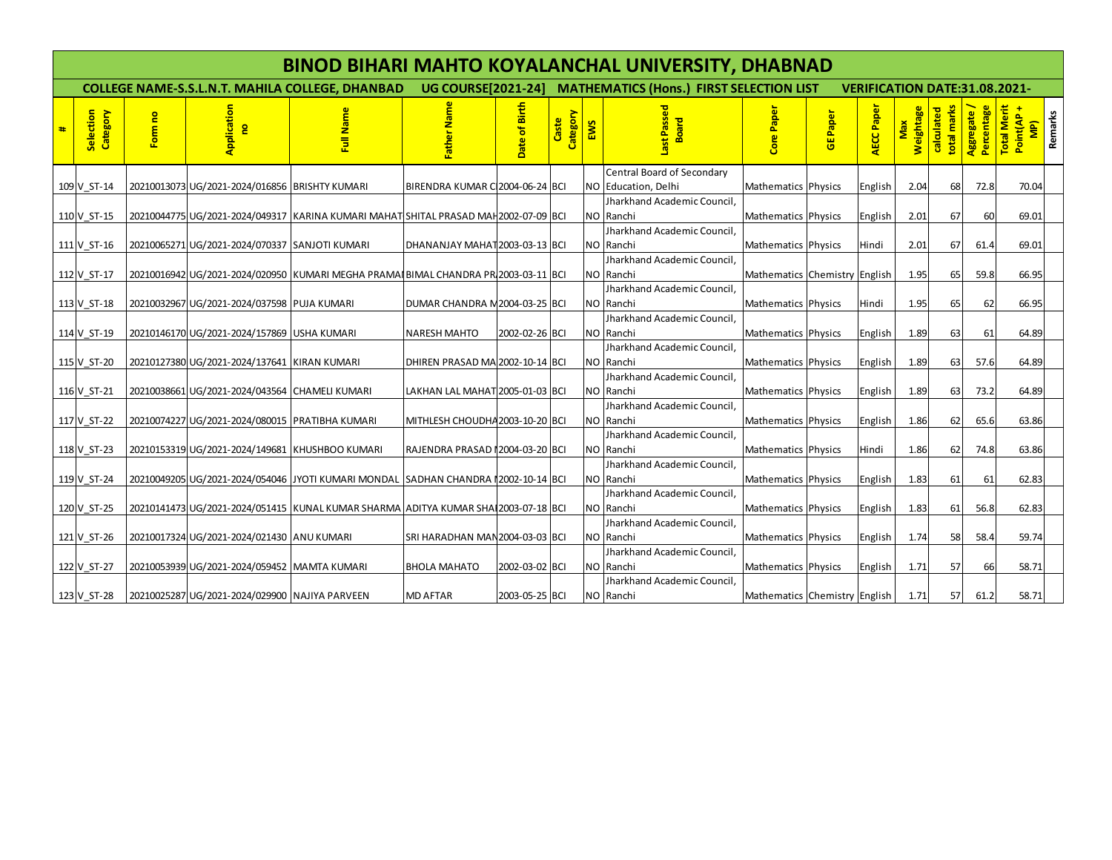|   | <b>BINOD BIHARI MAHTO KOYALANCHAL UNIVERSITY, DHABNAD</b> |         |                                                 |                                                                                      |                                 |                |                   |     |                                                             |                               |                |                                      |                         |                           |                           |                                                            |
|---|-----------------------------------------------------------|---------|-------------------------------------------------|--------------------------------------------------------------------------------------|---------------------------------|----------------|-------------------|-----|-------------------------------------------------------------|-------------------------------|----------------|--------------------------------------|-------------------------|---------------------------|---------------------------|------------------------------------------------------------|
|   |                                                           |         |                                                 | <b>COLLEGE NAME-S.S.L.N.T. MAHILA COLLEGE, DHANBAD</b>                               |                                 |                |                   |     | UG COURSE[2021-24] MATHEMATICS (Hons.) FIRST SELECTION LIST |                               |                | <b>VERIFICATION DATE:31.08.2021-</b> |                         |                           |                           |                                                            |
| # | Selection<br>Category                                     | Form no | <b>Application</b><br>$\mathbf{e}$              | Full Name                                                                            | ather Nam                       | Date of Birth  | Category<br>Caste | EWS | ast Passed<br>bard<br>m                                     | Core Paper                    | <b>GEPaper</b> | AECC Paper                           | Weightage<br><b>Max</b> | total marks<br>calculated | Percentage<br>Aggregate / | <b>Total Merit</b><br>Remarks<br>Point(AP<br>$\frac{1}{2}$ |
|   |                                                           |         |                                                 |                                                                                      |                                 |                |                   |     | Central Board of Secondary                                  |                               |                |                                      |                         |                           |                           |                                                            |
|   | 109 V ST-14                                               |         | 20210013073 UG/2021-2024/016856 BRISHTY KUMARI  |                                                                                      | BIRENDRA KUMAR C 2004-06-24 BCI |                |                   |     | NO Education, Delhi                                         | Mathematics Physics           |                | English                              | 2.04                    | 68                        | 72.8                      | 70.04                                                      |
|   | 110 V ST-15                                               |         |                                                 | 20210044775 UG/2021-2024/049317 KARINA KUMARI MAHAT SHITAL PRASAD MAH 2002-07-09 BCI |                                 |                |                   |     | Jharkhand Academic Council.<br>NO Ranchi                    | Mathematics Physics           |                | English                              | 2.01                    | 67                        | 60                        | 69.01                                                      |
|   |                                                           |         |                                                 |                                                                                      |                                 |                |                   |     | Jharkhand Academic Council.                                 |                               |                |                                      |                         |                           |                           |                                                            |
|   | 111 V ST-16                                               |         | 20210065271 UG/2021-2024/070337 SANJOTI KUMARI  |                                                                                      | DHANANJAY MAHAT 2003-03-13 BCI  |                |                   |     | NO Ranchi                                                   | Mathematics Physics           |                | Hindi                                | 2.01                    | 67                        | 61.4                      | 69.01                                                      |
|   | 112 V ST-17                                               |         |                                                 | 20210016942 UG/2021-2024/020950 KUMARI MEGHA PRAMAI BIMAL CHANDRA PR 2003-03-11 BCI  |                                 |                |                   |     | Jharkhand Academic Council.<br>NO Ranchi                    | Mathematics Chemistry English |                |                                      | 1.95                    | 65                        | 59.8                      | 66.95                                                      |
|   |                                                           |         |                                                 |                                                                                      |                                 |                |                   |     | Jharkhand Academic Council.                                 |                               |                |                                      |                         |                           |                           |                                                            |
|   | 113 V ST-18                                               |         | 20210032967 UG/2021-2024/037598 PUJA KUMARI     |                                                                                      | DUMAR CHANDRA M 2004-03-25 BCI  |                |                   |     | NO Ranchi                                                   | Mathematics Physics           |                | Hindi                                | 1.95                    | 65                        | 62                        | 66.95                                                      |
|   |                                                           |         |                                                 |                                                                                      |                                 |                |                   |     | Jharkhand Academic Council,                                 |                               |                |                                      |                         |                           |                           |                                                            |
|   | 114 V ST-19                                               |         | 20210146170 UG/2021-2024/157869 USHA KUMARI     |                                                                                      | <b>NARESH MAHTO</b>             | 2002-02-26 BCI |                   |     | NO Ranchi                                                   | Mathematics Physics           |                | English                              | 1.89                    | 63                        | 61                        | 64.89                                                      |
|   |                                                           |         |                                                 |                                                                                      |                                 |                |                   |     | Jharkhand Academic Council,                                 |                               |                |                                      |                         |                           |                           |                                                            |
|   | 115 V ST-20                                               |         | 20210127380 UG/2021-2024/137641 KIRAN KUMARI    |                                                                                      | DHIREN PRASAD MA 2002-10-14 BCI |                |                   |     | NO Ranchi                                                   | Mathematics Physics           |                | English                              | 1.89                    | 63                        | 57.6                      | 64.89                                                      |
|   | 116 V ST-21                                               |         | 20210038661 UG/2021-2024/043564 CHAMELI KUMARI  |                                                                                      | LAKHAN LAL MAHAT 2005-01-03 BCI |                |                   |     | Jharkhand Academic Council,<br>NO Ranchi                    | Mathematics Physics           |                | English                              | 1.89                    | 63                        | 73.2                      | 64.89                                                      |
|   |                                                           |         |                                                 |                                                                                      |                                 |                |                   |     | Jharkhand Academic Council,                                 |                               |                |                                      |                         |                           |                           |                                                            |
|   | 117 V ST-22                                               |         | 20210074227 UG/2021-2024/080015 PRATIBHA KUMARI |                                                                                      | MITHLESH CHOUDHA 2003-10-20 BCI |                |                   |     | NO Ranchi                                                   | Mathematics Physics           |                | English                              | 1.86                    | 62                        | 65.6                      | 63.86                                                      |
|   |                                                           |         |                                                 |                                                                                      |                                 |                |                   |     | Jharkhand Academic Council,<br>NO Ranchi                    |                               |                |                                      |                         |                           |                           |                                                            |
|   | 118 V ST-23                                               |         | 20210153319 UG/2021-2024/149681 KHUSHBOO KUMARI |                                                                                      | RAJENDRA PRASAD 12004-03-20 BCI |                |                   |     | Jharkhand Academic Council,                                 | Mathematics Physics           |                | Hindi                                | 1.86                    | 62                        | 74.8                      | 63.86                                                      |
|   | 119 V ST-24                                               |         |                                                 | 20210049205 UG/2021-2024/054046 JYOTI KUMARI MONDAL SADHAN CHANDRA 12002-10-14 BCI   |                                 |                |                   |     | NO Ranchi                                                   | Mathematics Physics           |                | English                              | 1.83                    | 61                        | 61                        | 62.83                                                      |
|   |                                                           |         |                                                 |                                                                                      |                                 |                |                   |     | Jharkhand Academic Council,                                 |                               |                |                                      |                         |                           |                           |                                                            |
|   | 120 V ST-25                                               |         |                                                 | 20210141473 UG/2021-2024/051415 KUNAL KUMAR SHARMA ADITYA KUMAR SHA 2003-07-18 BCI   |                                 |                |                   |     | NO Ranchi                                                   | Mathematics Physics           |                | English                              | 1.83                    | 61                        | 56.8                      | 62.83                                                      |
|   |                                                           |         |                                                 |                                                                                      |                                 |                |                   |     | Jharkhand Academic Council,                                 |                               |                |                                      |                         |                           |                           |                                                            |
|   | 121 V ST-26                                               |         | 20210017324 UG/2021-2024/021430 ANU KUMARI      |                                                                                      | SRI HARADHAN MAN 2004-03-03 BCI |                |                   |     | NO Ranchi                                                   | Mathematics Physics           |                | English                              | 1.74                    | 58                        | 58.4                      | 59.74                                                      |
|   | 122 V ST-27                                               |         | 20210053939 UG/2021-2024/059452 MAMTA KUMARI    |                                                                                      | <b>BHOLA MAHATO</b>             | 2002-03-02 BCI |                   |     | Jharkhand Academic Council,<br>NO Ranchi                    | Mathematics Physics           |                | English                              | 1.71                    | 57                        | 66                        | 58.71                                                      |
|   |                                                           |         |                                                 |                                                                                      |                                 |                |                   |     | Jharkhand Academic Council,                                 |                               |                |                                      |                         |                           |                           |                                                            |
|   | 123 V_ST-28                                               |         | 20210025287 UG/2021-2024/029900 NAJIYA PARVEEN  |                                                                                      | <b>MD AFTAR</b>                 | 2003-05-25 BCI |                   |     | NO Ranchi                                                   | Mathematics Chemistry English |                |                                      | 1.71                    | 57                        | 61.2                      | 58.71                                                      |
|   |                                                           |         |                                                 |                                                                                      |                                 |                |                   |     |                                                             |                               |                |                                      |                         |                           |                           |                                                            |